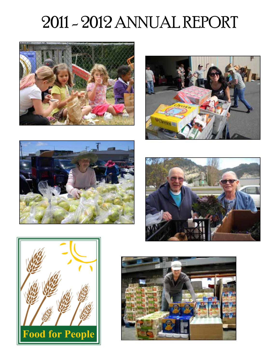# 2011 - 2012 ANNUAL REPORT











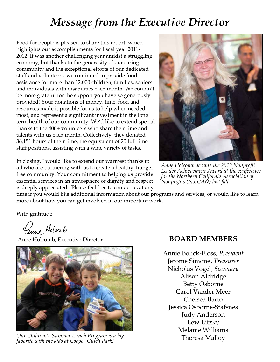## *Message from the Executive Director*

Food for People is pleased to share this report, which highlights our accomplishments for fiscal year 2011- 2012. It was another challenging year amidst a struggling economy, but thanks to the generosity of our caring community and the exceptional efforts of our dedicated staff and volunteers, we continued to provide food assistance for more than 12,000 children, families, seniors and individuals with disabilities each month. We couldn't be more grateful for the support you have so generously provided! Your donations of money, time, food and resources made it possible for us to help when needed most, and represent a significant investment in the long term health of our community. We'd like to extend special thanks to the 400+ volunteers who share their time and talents with us each month. Collectively, they donated 36,151 hours of their time, the equivalent of 20 full time staff positions, assisting with a wide variety of tasks.

In closing, I would like to extend our warmest thanks to all who are partnering with us to create a healthy, hungerfree community. Your commitment to helping us provide essential services in an atmosphere of dignity and respect is deeply appreciated. Please feel free to contact us at any



*Anne Holcomb accepts the 2012 Nonprofit Leader Achievement Award at the conference for the Northern California Association of Nonprofits (NorCAN) last fall.*

time if you would like additional information about our programs and services, or would like to learn more about how you can get involved in our important work.

With gratitude,

Cenne Holcomb

Anne Holcomb, Executive Director



Theresa Malloy *Our Children's Summer Lunch Program is a big favorite with the kids at Cooper Gulch Park!*

#### **BOARD MEMBERS**

Annie Bolick-Floss, *President* Jerome Simone, *Treasurer* Nicholas Vogel, *Secretary* Alison Aldridge Betty Osborne Carol Vander Meer Chelsea Barto Jessica Osborne-Stafsnes Judy Anderson Lew Litzky Melanie Williams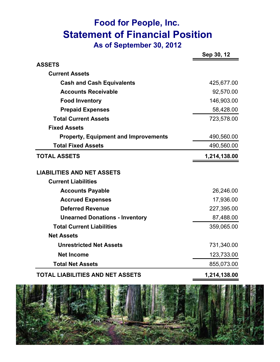## **Food for People, Inc. Statement of Financial Position As of September 30, 2012**

|                                                                 | Sep 30, 12   |
|-----------------------------------------------------------------|--------------|
| <b>ASSETS</b>                                                   |              |
| <b>Current Assets</b>                                           |              |
| <b>Cash and Cash Equivalents</b>                                | 425,677.00   |
| <b>Accounts Receivable</b>                                      | 92,570.00    |
| <b>Food Inventory</b>                                           | 146,903.00   |
| <b>Prepaid Expenses</b>                                         | 58,428.00    |
| <b>Total Current Assets</b>                                     | 723,578.00   |
| <b>Fixed Assets</b>                                             |              |
| <b>Property, Equipment and Improvements</b>                     | 490,560.00   |
| <b>Total Fixed Assets</b>                                       | 490,560.00   |
| <b>TOTAL ASSETS</b>                                             | 1,214,138.00 |
| <b>LIABILITIES AND NET ASSETS</b><br><b>Current Liabilities</b> |              |
| <b>Accounts Payable</b>                                         | 26,246.00    |
| <b>Accrued Expenses</b>                                         | 17,936.00    |
| <b>Deferred Revenue</b>                                         | 227,395.00   |
| <b>Unearned Donations - Inventory</b>                           | 87,488.00    |
| <b>Total Current Liabilities</b>                                | 359,065.00   |
| <b>Net Assets</b>                                               |              |
| <b>Unrestricted Net Assets</b>                                  | 731,340.00   |
| <b>Net Income</b>                                               | 123,733.00   |
|                                                                 |              |

#### **TOTAL LIABILITIES AND NET ASSETS 1,214,138.00**

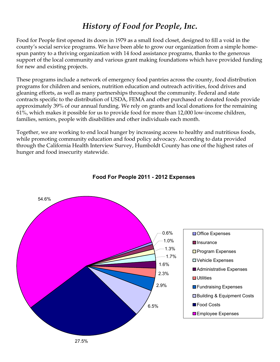### *History of Food for People, Inc.*

Food for People first opened its doors in 1979 as a small food closet, designed to fill a void in the county's social service programs. We have been able to grow our organization from a simple homespun pantry to a thriving organization with 14 food assistance programs, thanks to the generous support of the local community and various grant making foundations which have provided funding for new and existing projects.

These programs include a network of emergency food pantries across the county, food distribution programs for children and seniors, nutrition education and outreach activities, food drives and gleaning efforts, as well as many partnerships throughout the community. Federal and state contracts specific to the distribution of USDA, FEMA and other purchased or donated foods provide approximately 39% of our annual funding. We rely on grants and local donations for the remaining 61%, which makes it possible for us to provide food for more than 12,000 low-income children, families, seniors, people with disabilities and other individuals each month.

Together, we are working to end local hunger by increasing access to healthy and nutritious foods, while promoting community education and food policy advocacy. According to data provided through the California Health Interview Survey, Humboldt County has one of the highest rates of hunger and food insecurity statewide.



#### **Food For People 2011 - 2012 Expenses**

27.5%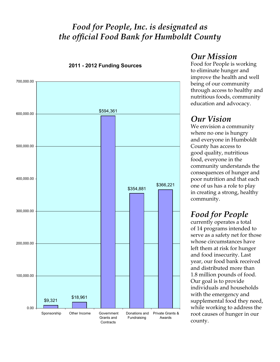#### *Food for People, Inc. is designated as the official Food Bank for Humboldt County*



**2011 - 2012 Funding Sources**

#### *Our Mission*

Food for People is working to eliminate hunger and improve the health and well being of our community through access to healthy and nutritious foods, community education and advocacy.

### *Our Vision*

We envision a community where no one is hungry and everyone in Humboldt County has access to good quality, nutritious food, everyone in the community understands the consequences of hunger and poor nutrition and that each one of us has a role to play in creating a strong, healthy community.

## *Food for People*

currently operates a total of 14 programs intended to serve as a safety net for those whose circumstances have left them at risk for hunger and food insecurity. Last year, our food bank received and distributed more than 1.8 million pounds of food. Our goal is to provide individuals and households with the emergency and supplemental food they need, while working to address the root causes of hunger in our county.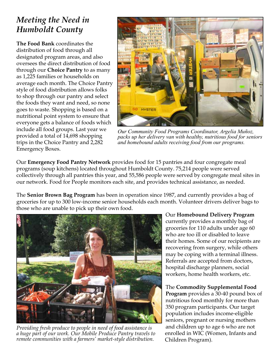## *Meeting the Need in Humboldt County*

**The Food Bank** coordinates the distribution of food through all designated program areas, and also oversees the direct distribution of food through our **Choice Pantry** to as many as 1,225 families or households on average each month. The Choice Pantry style of food distribution allows folks to shop through our pantry and select the foods they want and need, so none goes to waste. Shopping is based on a nutritional point system to ensure that everyone gets a balance of foods which include all food groups. Last year we provided a total of 14,698 shopping trips in the Choice Pantry and 2,282 Emergency Boxes.



*Our Community Food Programs Coordinator, Argelia Muñoz, packs up her delivery van with healthy, nutritious food for seniors and homebound adults receiving food from our programs.*

Our **Emergency Food Pantry Network** provides food for 15 pantries and four congregate meal programs (soup kitchens) located throughout Humboldt County. 75,214 people were served collectively through all pantries this year, and 55,586 people were served by congregate meal sites in our network. Food for People monitors each site, and provides technical assistance, as needed.

The **Senior Brown Bag Program** has been in operation since 1987, and currently provides a bag of groceries for up to 300 low-income senior households each month. Volunteer drivers deliver bags to those who are unable to pick up their own food.



*Providing fresh produce to people in need of food assistance is a huge part of our work. Our Mobile Produce Pantry travels to remote communities with a farmers' market-style distribution.*

Our **Homebound Delivery Program** currently provides a monthly bag of groceries for 110 adults under age 60 who are too ill or disabled to leave their homes. Some of our recipients are recovering from surgery, while others may be coping with a terminal illness. Referrals are accepted from doctors, hospital discharge planners, social workers, home health workers, etc.

The **Commodity Supplemental Food Program** provides a 30-40 pound box of nutritious food monthly for more than 350 program participants. Our target population includes income-eligible seniors, pregnant or nursing mothers and children up to age 6 who are not enrolled in WIC (Women, Infants and Children Program).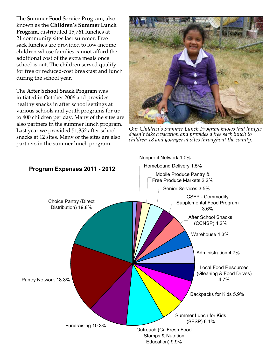The Summer Food Service Program, also known as the **Children's Summer Lunch Program**, distributed 15,761 lunches at 21 community sites last summer. Free sack lunches are provided to low-income children whose families cannot afford the additional cost of the extra meals once school is out. The children served qualify for free or reduced-cost breakfast and lunch during the school year.

The **After School Snack Program** was initiated in October 2006 and provides healthy snacks in after school settings at various schools and youth programs for up to 400 children per day. Many of the sites are also partners in the summer lunch program. Last year we provided 51,352 after school snacks at 12 sites. Many of the sites are also partners in the summer lunch program.



*Our Children's Summer Lunch Program knows that hunger doesn't take a vacation and provides a free sack lunch to children 18 and younger at sites throughout the county.*

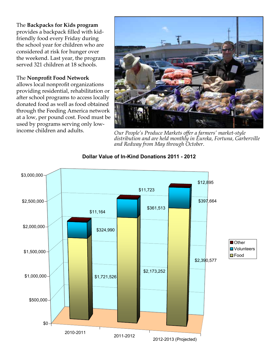The **Backpacks for Kids program** provides a backpack filled with kidfriendly food every Friday during the school year for children who are considered at risk for hunger over the weekend. Last year, the program served 321 children at 18 schools.

#### The **Nonprofit Food Network**

allows local nonprofit organizations providing residential, rehabilitation or after school programs to access locally donated food as well as food obtained through the Feeding America network at a low, per pound cost. Food must be used by programs serving only low-



income children and adults. *Our People's Produce Markets offer a farmers' market-style distribution and are held monthly in Eureka, Fortuna, Garberville and Redway from May through October.*



#### **Dollar Value of In-Kind Donations 2011 - 2012**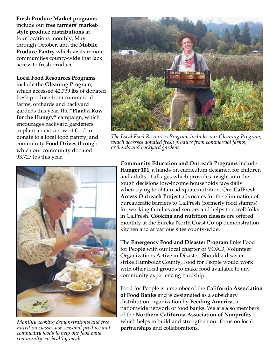**Fresh Produce Market programs** include our **free farmers' marketstyle produce distributions** at four locations monthly, May through October, and the **Mobile Produce Pantry** which visits remote communities county-wide that lack access to fresh produce.

**Local Food Resources Programs** include the **Gleaning Program**, which accessed 42,739 lbs of donated fresh produce from commercial farms, orchards and backyard gardens this year; the **"Plant a Row for the Hungry"** campaign, which encourages backyard gardeners to plant an extra row of food to donate to a local food pantry; and community **Food Drives** through which our community donated 93,727 lbs this year.



*The Local Food Resources Program includes our Gleaning Program, which accesses donated fresh produce from commercial farms, orchards and backyard gardens.*



*Monthly cooking demonstrations and free nutrition classes use seasonal produce and commodity foods to help our food bank community eat healthy meals.*

**Community Education and Outreach Programs** include **Hunger 101**, a hands-on curriculum designed for children and adults of all ages which provides insight into the tough decisions low-income households face daily when trying to obtain adequate nutrition. Our **CalFresh Access Outreach Project** advocates for the elimination of bureaucratic barriers to CalFresh (formerly food stamps) for working families and seniors and helps to enroll folks in CalFresh. **Cooking and nutrition classes** are offered monthly at the Eureka North Coast Co-op demonstration kitchen and at various sites county-wide.

The **Emergency Food and Disaster Program** links Food for People with our local chapter of VOAD, Volunteer Organizations Active in Disaster. Should a disaster strike Humboldt County, Food for People would work with other local groups to make food available to any community experiencing hardship.

Food for People is a member of the **California Association of Food Banks** and is designated as a subsidiary distribution organization by **Feeding America**, a nationwide network of food banks. We are also members of the **Northern California Association of Nonprofits**, which helps to build and strengthen our focus on local partnerships and collaborations.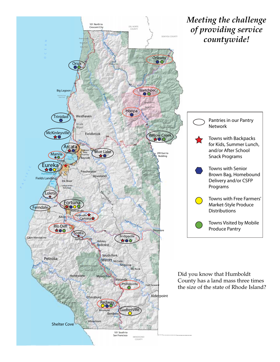